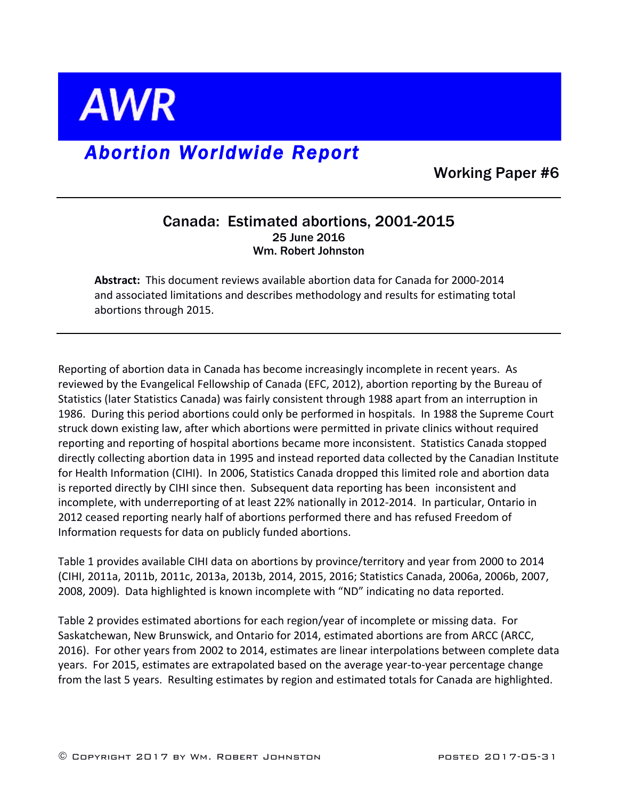

# *Abortion Worldwide Report*

Working Paper #6

#### Canada: Estimated abortions, 2001-2015 25 June 2016 Wm. Robert Johnston

**Abstract:** This document reviews available abortion data for Canada for 2000-2014 and associated limitations and describes methodology and results for estimating total abortions through 2015.

Reporting of abortion data in Canada has become increasingly incomplete in recent years. As reviewed by the Evangelical Fellowship of Canada (EFC, 2012), abortion reporting by the Bureau of Statistics (later Statistics Canada) was fairly consistent through 1988 apart from an interruption in 1986. During this period abortions could only be performed in hospitals. In 1988 the Supreme Court struck down existing law, after which abortions were permitted in private clinics without required reporting and reporting of hospital abortions became more inconsistent. Statistics Canada stopped directly collecting abortion data in 1995 and instead reported data collected by the Canadian Institute for Health Information (CIHI). In 2006, Statistics Canada dropped this limited role and abortion data is reported directly by CIHI since then. Subsequent data reporting has been inconsistent and incomplete, with underreporting of at least 22% nationally in 2012-2014. In particular, Ontario in 2012 ceased reporting nearly half of abortions performed there and has refused Freedom of Information requests for data on publicly funded abortions.

Table 1 provides available CIHI data on abortions by province/territory and year from 2000 to 2014 (CIHI, 2011a, 2011b, 2011c, 2013a, 2013b, 2014, 2015, 2016; Statistics Canada, 2006a, 2006b, 2007, 2008, 2009). Data highlighted is known incomplete with "ND" indicating no data reported.

Table 2 provides estimated abortions for each region/year of incomplete or missing data. For Saskatchewan, New Brunswick, and Ontario for 2014, estimated abortions are from ARCC (ARCC, 2016). For other years from 2002 to 2014, estimates are linear interpolations between complete data years. For 2015, estimates are extrapolated based on the average year-to-year percentage change from the last 5 years. Resulting estimates by region and estimated totals for Canada are highlighted.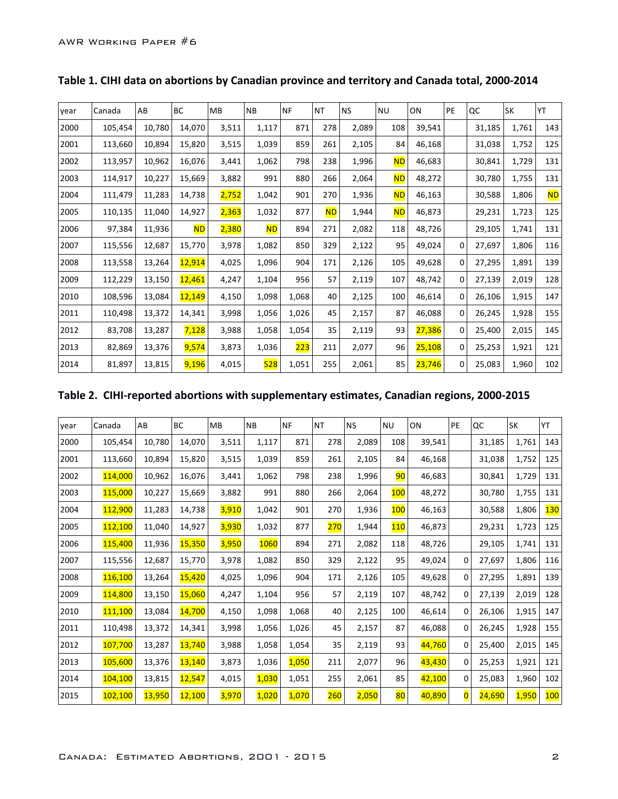| year | Canada  | AB     | BC            | MB    | <b>NB</b> | <b>NF</b> | <b>NT</b> | <b>NS</b> | <b>NU</b> | ON     | PE          | QC     | <b>SK</b> | YT        |
|------|---------|--------|---------------|-------|-----------|-----------|-----------|-----------|-----------|--------|-------------|--------|-----------|-----------|
| 2000 | 105,454 | 10,780 | 14,070        | 3,511 | 1,117     | 871       | 278       | 2,089     | 108       | 39,541 |             | 31,185 | 1,761     | 143       |
| 2001 | 113,660 | 10,894 | 15,820        | 3,515 | 1,039     | 859       | 261       | 2,105     | 84        | 46,168 |             | 31,038 | 1,752     | 125       |
| 2002 | 113,957 | 10,962 | 16,076        | 3,441 | 1,062     | 798       | 238       | 1,996     | <b>ND</b> | 46,683 |             | 30,841 | 1,729     | 131       |
| 2003 | 114,917 | 10,227 | 15,669        | 3,882 | 991       | 880       | 266       | 2,064     | ND        | 48,272 |             | 30,780 | 1,755     | 131       |
| 2004 | 111,479 | 11,283 | 14,738        | 2,752 | 1,042     | 901       | 270       | 1,936     | <b>ND</b> | 46,163 |             | 30,588 | 1,806     | <b>ND</b> |
| 2005 | 110,135 | 11,040 | 14,927        | 2,363 | 1,032     | 877       | <b>ND</b> | 1,944     | <b>ND</b> | 46,873 |             | 29,231 | 1,723     | 125       |
| 2006 | 97,384  | 11,936 | <b>ND</b>     | 2,380 | <b>ND</b> | 894       | 271       | 2,082     | 118       | 48,726 |             | 29,105 | 1,741     | 131       |
| 2007 | 115,556 | 12,687 | 15,770        | 3,978 | 1,082     | 850       | 329       | 2,122     | 95        | 49,024 | 0           | 27,697 | 1,806     | 116       |
| 2008 | 113,558 | 13,264 | <b>12,914</b> | 4,025 | 1,096     | 904       | 171       | 2,126     | 105       | 49,628 | 0           | 27,295 | 1,891     | 139       |
| 2009 | 112,229 | 13,150 | 12,461        | 4,247 | 1,104     | 956       | 57        | 2,119     | 107       | 48,742 | 0           | 27,139 | 2,019     | 128       |
| 2010 | 108,596 | 13,084 | 12,149        | 4,150 | 1,098     | 1,068     | 40        | 2,125     | 100       | 46,614 | 0           | 26,106 | 1,915     | 147       |
| 2011 | 110,498 | 13,372 | 14,341        | 3,998 | 1,056     | 1,026     | 45        | 2,157     | 87        | 46,088 | $\mathbf 0$ | 26,245 | 1,928     | 155       |
| 2012 | 83,708  | 13,287 | 7,128         | 3,988 | 1,058     | 1,054     | 35        | 2,119     | 93        | 27,386 | 0           | 25,400 | 2,015     | 145       |
| 2013 | 82,869  | 13,376 | 9,574         | 3,873 | 1,036     | 223       | 211       | 2,077     | 96        | 25,108 | 0           | 25,253 | 1,921     | 121       |
| 2014 | 81,897  | 13,815 | 9,196         | 4,015 | 528       | 1,051     | 255       | 2,061     | 85        | 23,746 | 0           | 25,083 | 1,960     | 102       |

## Table 1. CIHI data on abortions by Canadian province and territory and Canada total, 2000-2014

## Table 2. CIHI-reported abortions with supplementary estimates, Canadian regions, 2000-2015

| year | Canada  | AB     | BC     | <b>MB</b> | <b>NB</b>   | <b>NF</b> | <b>NT</b>  | <b>NS</b> | <b>NU</b>  | ON     | PE                      | QC     | <b>SK</b> | YT         |
|------|---------|--------|--------|-----------|-------------|-----------|------------|-----------|------------|--------|-------------------------|--------|-----------|------------|
| 2000 | 105,454 | 10,780 | 14,070 | 3,511     | 1,117       | 871       | 278        | 2,089     | 108        | 39,541 |                         | 31,185 | 1,761     | 143        |
| 2001 | 113,660 | 10,894 | 15,820 | 3,515     | 1,039       | 859       | 261        | 2,105     | 84         | 46,168 |                         | 31,038 | 1,752     | 125        |
| 2002 | 114,000 | 10,962 | 16,076 | 3,441     | 1,062       | 798       | 238        | 1,996     | 90         | 46,683 |                         | 30,841 | 1,729     | 131        |
| 2003 | 115,000 | 10,227 | 15,669 | 3,882     | 991         | 880       | 266        | 2,064     | <b>100</b> | 48,272 |                         | 30,780 | 1,755     | 131        |
| 2004 | 112,900 | 11,283 | 14,738 | 3,910     | 1,042       | 901       | 270        | 1,936     | 100        | 46,163 |                         | 30,588 | 1,806     | <b>130</b> |
| 2005 | 112,100 | 11,040 | 14,927 | 3,930     | 1,032       | 877       | <b>270</b> | 1,944     | <b>110</b> | 46,873 |                         | 29,231 | 1,723     | 125        |
| 2006 | 115,400 | 11,936 | 15,350 | 3,950     | <b>1060</b> | 894       | 271        | 2,082     | 118        | 48,726 |                         | 29,105 | 1,741     | 131        |
| 2007 | 115,556 | 12,687 | 15,770 | 3,978     | 1,082       | 850       | 329        | 2,122     | 95         | 49,024 | 0                       | 27,697 | 1,806     | 116        |
| 2008 | 116,100 | 13,264 | 15,420 | 4,025     | 1,096       | 904       | 171        | 2,126     | 105        | 49,628 | 0                       | 27,295 | 1,891     | 139        |
| 2009 | 114,800 | 13,150 | 15,060 | 4,247     | 1,104       | 956       | 57         | 2,119     | 107        | 48,742 | $\Omega$                | 27,139 | 2,019     | 128        |
| 2010 | 111,100 | 13,084 | 14,700 | 4,150     | 1,098       | 1,068     | 40         | 2,125     | 100        | 46,614 | $\Omega$                | 26,106 | 1,915     | 147        |
| 2011 | 110,498 | 13,372 | 14,341 | 3,998     | 1,056       | 1,026     | 45         | 2,157     | 87         | 46,088 | 0                       | 26,245 | 1,928     | 155        |
| 2012 | 107,700 | 13,287 | 13,740 | 3,988     | 1,058       | 1,054     | 35         | 2,119     | 93         | 44,760 | $\Omega$                | 25,400 | 2,015     | 145        |
| 2013 | 105,600 | 13,376 | 13,140 | 3,873     | 1,036       | 1,050     | 211        | 2,077     | 96         | 43,430 | 0                       | 25,253 | 1,921     | 121        |
| 2014 | 104,100 | 13,815 | 12,547 | 4,015     | 1,030       | 1,051     | 255        | 2,061     | 85         | 42,100 | $\Omega$                | 25,083 | 1,960     | 102        |
| 2015 | 102,100 | 13,950 | 12,100 | 3,970     | 1,020       | 1,070     | 260        | 2,050     | 80         | 40,890 | $\overline{\mathbf{0}}$ | 24,690 | 1,950     | 100        |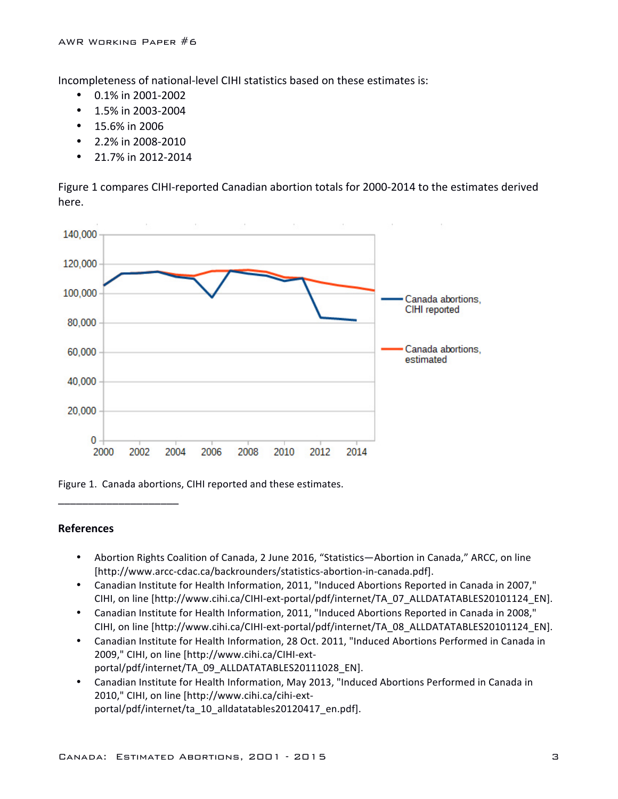Incompleteness of national-level CIHI statistics based on these estimates is:

- $\bullet$  0.1% in 2001-2002
- $\cdot$  1.5% in 2003-2004
- $\cdot$  15.6% in 2006
- $2.2\%$  in 2008-2010
- 21.7% in 2012-2014

Figure 1 compares CIHI-reported Canadian abortion totals for 2000-2014 to the estimates derived here.



Figure 1. Canada abortions, CIHI reported and these estimates.

#### **References**

\_\_\_\_\_\_\_\_\_\_\_\_\_\_\_\_\_\_\_\_

- Abortion Rights Coalition of Canada, 2 June 2016, "Statistics—Abortion in Canada," ARCC, on line [http://www.arcc-cdac.ca/backrounders/statistics-abortion-in-canada.pdf].
- Canadian Institute for Health Information, 2011, "Induced Abortions Reported in Canada in 2007," CIHI, on line [http://www.cihi.ca/CIHI-ext-portal/pdf/internet/TA\_07\_ALLDATATABLES20101124\_EN].
- Canadian Institute for Health Information, 2011, "Induced Abortions Reported in Canada in 2008," CIHI, on line [http://www.cihi.ca/CIHI-ext-portal/pdf/internet/TA\_08\_ALLDATATABLES20101124\_EN].
- Canadian Institute for Health Information, 28 Oct. 2011, "Induced Abortions Performed in Canada in 2009," CIHI, on line [http://www.cihi.ca/CIHI-extportal/pdf/internet/TA\_09\_ALLDATATABLES20111028\_EN].
- Canadian Institute for Health Information, May 2013, "Induced Abortions Performed in Canada in 2010," CIHI, on line [http://www.cihi.ca/cihi-extportal/pdf/internet/ta\_10\_alldatatables20120417\_en.pdf].